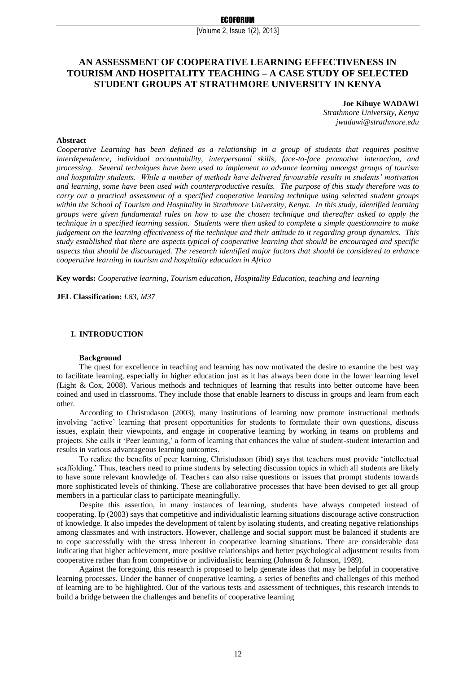[Volume 2, Issue 1(2), 2013]

# **AN ASSESSMENT OF COOPERATIVE LEARNING EFFECTIVENESS IN TOURISM AND HOSPITALITY TEACHING – A CASE STUDY OF SELECTED STUDENT GROUPS AT STRATHMORE UNIVERSITY IN KENYA**

### **Joe Kibuye WADAWI**

*Strathmore University, Kenya jwadawi@strathmore.edu*

#### **Abstract**

*Cooperative Learning has been defined as a relationship in a group of students that requires positive interdependence, individual accountability, interpersonal skills, face-to-face promotive interaction, and processing. Several techniques have been used to implement to advance learning amongst groups of tourism and hospitality students. While a number of methods have delivered favourable results in students' motivation and learning, some have been used with counterproductive results. The purpose of this study therefore was to carry out a practical assessment of a specified cooperative learning technique using selected student groups within the School of Tourism and Hospitality in Strathmore University, Kenya. In this study, identified learning groups were given fundamental rules on how to use the chosen technique and thereafter asked to apply the technique in a specified learning session. Students were then asked to complete a simple questionnaire to make judgement on the learning effectiveness of the technique and their attitude to it regarding group dynamics. This study established that there are aspects typical of cooperative learning that should be encouraged and specific aspects that should be discouraged. The research identified major factors that should be considered to enhance cooperative learning in tourism and hospitality education in Africa*

**Key words:** *Cooperative learning, Tourism education, Hospitality Education, teaching and learning*

**JEL Classification:** *L83, M37*

### **I. INTRODUCTION**

#### **Background**

The quest for excellence in teaching and learning has now motivated the desire to examine the best way to facilitate learning, especially in higher education just as it has always been done in the lower learning level (Light & Cox, 2008). Various methods and techniques of learning that results into better outcome have been coined and used in classrooms. They include those that enable learners to discuss in groups and learn from each other.

According to Christudason (2003), many institutions of learning now promote instructional methods involving 'active' learning that present opportunities for students to formulate their own questions, discuss issues, explain their viewpoints, and engage in cooperative learning by working in teams on problems and projects. She calls it 'Peer learning,' a form of learning that enhances the value of student-student interaction and results in various advantageous learning outcomes.

To realize the benefits of peer learning, Christudason (ibid) says that teachers must provide 'intellectual scaffolding.' Thus, teachers need to prime students by selecting discussion topics in which all students are likely to have some relevant knowledge of. Teachers can also raise questions or issues that prompt students towards more sophisticated levels of thinking. These are collaborative processes that have been devised to get all group members in a particular class to participate meaningfully.

Despite this assertion, in many instances of learning, students have always competed instead of cooperating. Ip (2003) says that competitive and individualistic learning situations discourage active construction of knowledge. It also impedes the development of talent by isolating students, and creating negative relationships among classmates and with instructors. However, challenge and social support must be balanced if students are to cope successfully with the stress inherent in cooperative learning situations. There are considerable data indicating that higher achievement, more positive relationships and better psychological adjustment results from cooperative rather than from competitive or individualistic learning (Johnson & Johnson, 1989).

Against the foregoing, this research is proposed to help generate ideas that may be helpful in cooperative learning processes. Under the banner of cooperative learning, a series of benefits and challenges of this method of learning are to be highlighted. Out of the various tests and assessment of techniques, this research intends to build a bridge between the challenges and benefits of cooperative learning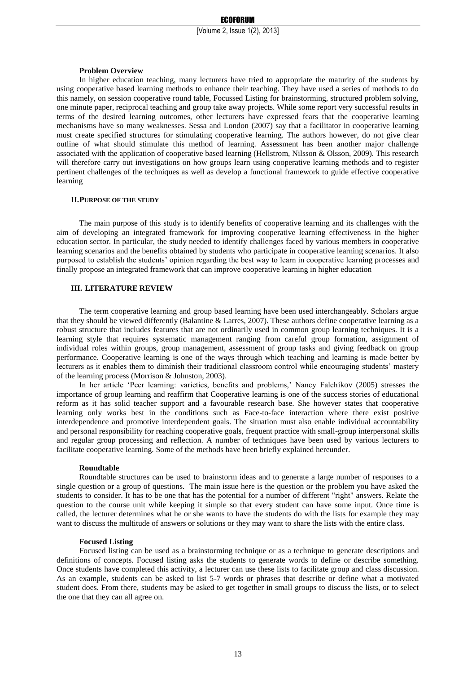#### **Problem Overview**

In higher education teaching, many lecturers have tried to appropriate the maturity of the students by using cooperative based learning methods to enhance their teaching. They have used a series of methods to do this namely, on session cooperative round table, Focussed Listing for brainstorming, structured problem solving, one minute paper, reciprocal teaching and group take away projects. While some report very successful results in terms of the desired learning outcomes, other lecturers have expressed fears that the cooperative learning mechanisms have so many weaknesses. Sessa and London (2007) say that a facilitator in cooperative learning must create specified structures for stimulating cooperative learning. The authors however, do not give clear outline of what should stimulate this method of learning. Assessment has been another major challenge associated with the application of cooperative based learning (Hellstrom, Nilsson & Olsson, 2009). This research will therefore carry out investigations on how groups learn using cooperative learning methods and to register pertinent challenges of the techniques as well as develop a functional framework to guide effective cooperative learning

## **II.PURPOSE OF THE STUDY**

The main purpose of this study is to identify benefits of cooperative learning and its challenges with the aim of developing an integrated framework for improving cooperative learning effectiveness in the higher education sector. In particular, the study needed to identify challenges faced by various members in cooperative learning scenarios and the benefits obtained by students who participate in cooperative learning scenarios. It also purposed to establish the students' opinion regarding the best way to learn in cooperative learning processes and finally propose an integrated framework that can improve cooperative learning in higher education

## **III. LITERATURE REVIEW**

The term cooperative learning and group based learning have been used interchangeably. Scholars argue that they should be viewed differently (Balantine & Larres, 2007). These authors define cooperative learning as a robust structure that includes features that are not ordinarily used in common group learning techniques. It is a learning style that requires systematic management ranging from careful group formation, assignment of individual roles within groups, group management, assessment of group tasks and giving feedback on group performance. Cooperative learning is one of the ways through which teaching and learning is made better by lecturers as it enables them to diminish their traditional classroom control while encouraging students' mastery of the learning process (Morrison & Johnston, 2003).

In her article 'Peer learning: varieties, benefits and problems,' Nancy Falchikov (2005) stresses the importance of group learning and reaffirm that Cooperative learning is one of the success stories of educational reform as it has solid teacher support and a favourable research base. She however states that cooperative learning only works best in the conditions such as Face-to-face interaction where there exist positive interdependence and promotive interdependent goals. The situation must also enable individual accountability and personal responsibility for reaching cooperative goals, frequent practice with small-group interpersonal skills and regular group processing and reflection. A number of techniques have been used by various lecturers to facilitate cooperative learning. Some of the methods have been briefly explained hereunder.

### **Roundtable**

Roundtable structures can be used to brainstorm ideas and to generate a large number of responses to a single question or a group of questions. The main issue here is the question or the problem you have asked the students to consider. It has to be one that has the potential for a number of different "right" answers. Relate the question to the course unit while keeping it simple so that every student can have some input. Once time is called, the lecturer determines what he or she wants to have the students do with the lists for example they may want to discuss the multitude of answers or solutions or they may want to share the lists with the entire class.

#### **Focused Listing**

Focused listing can be used as a brainstorming technique or as a technique to generate descriptions and definitions of concepts. Focused listing asks the students to generate words to define or describe something. Once students have completed this activity, a lecturer can use these lists to facilitate group and class discussion. As an example, students can be asked to list 5-7 words or phrases that describe or define what a motivated student does. From there, students may be asked to get together in small groups to discuss the lists, or to select the one that they can all agree on.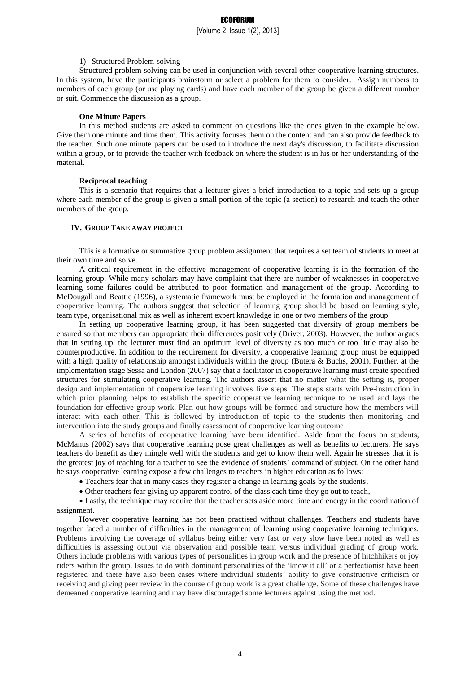1) Structured Problem-solving

Structured problem-solving can be used in conjunction with several other cooperative learning structures. In this system, have the participants brainstorm or select a problem for them to consider. Assign numbers to members of each group (or use playing cards) and have each member of the group be given a different number or suit. Commence the discussion as a group.

#### **One Minute Papers**

In this method students are asked to comment on questions like the ones given in the example below. Give them one minute and time them. This activity focuses them on the content and can also provide feedback to the teacher. Such one minute papers can be used to introduce the next day's discussion, to facilitate discussion within a group, or to provide the teacher with feedback on where the student is in his or her understanding of the material.

#### **Reciprocal teaching**

This is a scenario that requires that a lecturer gives a brief introduction to a topic and sets up a group where each member of the group is given a small portion of the topic (a section) to research and teach the other members of the group.

# **IV. GROUP TAKE AWAY PROJECT**

This is a formative or summative group problem assignment that requires a set team of students to meet at their own time and solve.

A critical requirement in the effective management of cooperative learning is in the formation of the learning group. While many scholars may have complaint that there are number of weaknesses in cooperative learning some failures could be attributed to poor formation and management of the group. According to McDougall and Beattie (1996), a systematic framework must be employed in the formation and management of cooperative learning. The authors suggest that selection of learning group should be based on learning style, team type, organisational mix as well as inherent expert knowledge in one or two members of the group

In setting up cooperative learning group, it has been suggested that diversity of group members be ensured so that members can appropriate their differences positively (Driver, 2003). However, the author argues that in setting up, the lecturer must find an optimum level of diversity as too much or too little may also be counterproductive. In addition to the requirement for diversity, a cooperative learning group must be equipped with a high quality of relationship amongst individuals within the group (Butera & Buchs, 2001). Further, at the implementation stage Sessa and London (2007) say that a facilitator in cooperative learning must create specified structures for stimulating cooperative learning. The authors assert that no matter what the setting is, proper design and implementation of cooperative learning involves five steps. The steps starts with Pre-instruction in which prior planning helps to establish the specific cooperative learning technique to be used and lays the foundation for effective group work. Plan out how groups will be formed and structure how the members will interact with each other. This is followed by introduction of topic to the students then monitoring and intervention into the study groups and finally assessment of cooperative learning outcome

A series of benefits of cooperative learning have been identified. Aside from the focus on students, McManus (2002) says that cooperative learning pose great challenges as well as benefits to lecturers. He says teachers do benefit as they mingle well with the students and get to know them well. Again he stresses that it is the greatest joy of teaching for a teacher to see the evidence of students' command of subject. On the other hand he says cooperative learning expose a few challenges to teachers in higher education as follows:

- Teachers fear that in many cases they register a change in learning goals by the students,
- Other teachers fear giving up apparent control of the class each time they go out to teach,

 Lastly, the technique may require that the teacher sets aside more time and energy in the coordination of assignment.

However cooperative learning has not been practised without challenges. Teachers and students have together faced a number of difficulties in the management of learning using cooperative learning techniques. Problems involving the coverage of syllabus being either very fast or very slow have been noted as well as difficulties is assessing output via observation and possible team versus individual grading of group work. Others include problems with various types of personalities in group work and the presence of hitchhikers or joy riders within the group. Issues to do with dominant personalities of the 'know it all' or a perfectionist have been registered and there have also been cases where individual students' ability to give constructive criticism or receiving and giving peer review in the course of group work is a great challenge. Some of these challenges have demeaned cooperative learning and may have discouraged some lecturers against using the method.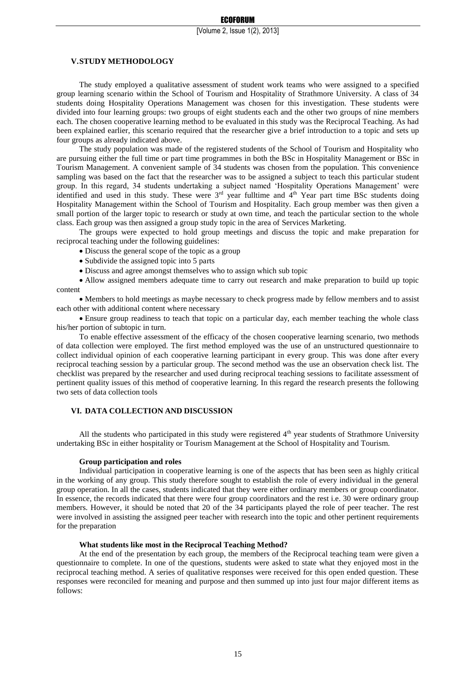## **V.STUDY METHODOLOGY**

The study employed a qualitative assessment of student work teams who were assigned to a specified group learning scenario within the School of Tourism and Hospitality of Strathmore University. A class of 34 students doing Hospitality Operations Management was chosen for this investigation. These students were divided into four learning groups: two groups of eight students each and the other two groups of nine members each. The chosen cooperative learning method to be evaluated in this study was the Reciprocal Teaching. As had been explained earlier, this scenario required that the researcher give a brief introduction to a topic and sets up four groups as already indicated above.

The study population was made of the registered students of the School of Tourism and Hospitality who are pursuing either the full time or part time programmes in both the BSc in Hospitality Management or BSc in Tourism Management. A convenient sample of 34 students was chosen from the population. This convenience sampling was based on the fact that the researcher was to be assigned a subject to teach this particular student group. In this regard, 34 students undertaking a subject named 'Hospitality Operations Management' were identified and used in this study. These were  $3<sup>rd</sup>$  year fulltime and  $4<sup>th</sup>$  Year part time BSc students doing Hospitality Management within the School of Tourism and Hospitality. Each group member was then given a small portion of the larger topic to research or study at own time, and teach the particular section to the whole class. Each group was then assigned a group study topic in the area of Services Marketing.

The groups were expected to hold group meetings and discuss the topic and make preparation for reciprocal teaching under the following guidelines:

- Discuss the general scope of the topic as a group
- Subdivide the assigned topic into 5 parts
- Discuss and agree amongst themselves who to assign which sub topic

 Allow assigned members adequate time to carry out research and make preparation to build up topic content

 Members to hold meetings as maybe necessary to check progress made by fellow members and to assist each other with additional content where necessary

 Ensure group readiness to teach that topic on a particular day, each member teaching the whole class his/her portion of subtopic in turn.

To enable effective assessment of the efficacy of the chosen cooperative learning scenario, two methods of data collection were employed. The first method employed was the use of an unstructured questionnaire to collect individual opinion of each cooperative learning participant in every group. This was done after every reciprocal teaching session by a particular group. The second method was the use an observation check list. The checklist was prepared by the researcher and used during reciprocal teaching sessions to facilitate assessment of pertinent quality issues of this method of cooperative learning. In this regard the research presents the following two sets of data collection tools

## **VI. DATA COLLECTION AND DISCUSSION**

All the students who participated in this study were registered 4<sup>th</sup> year students of Strathmore University undertaking BSc in either hospitality or Tourism Management at the School of Hospitality and Tourism.

#### **Group participation and roles**

Individual participation in cooperative learning is one of the aspects that has been seen as highly critical in the working of any group. This study therefore sought to establish the role of every individual in the general group operation. In all the cases, students indicated that they were either ordinary members or group coordinator. In essence, the records indicated that there were four group coordinators and the rest i.e. 30 were ordinary group members. However, it should be noted that 20 of the 34 participants played the role of peer teacher. The rest were involved in assisting the assigned peer teacher with research into the topic and other pertinent requirements for the preparation

#### **What students like most in the Reciprocal Teaching Method?**

At the end of the presentation by each group, the members of the Reciprocal teaching team were given a questionnaire to complete. In one of the questions, students were asked to state what they enjoyed most in the reciprocal teaching method. A series of qualitative responses were received for this open ended question. These responses were reconciled for meaning and purpose and then summed up into just four major different items as follows: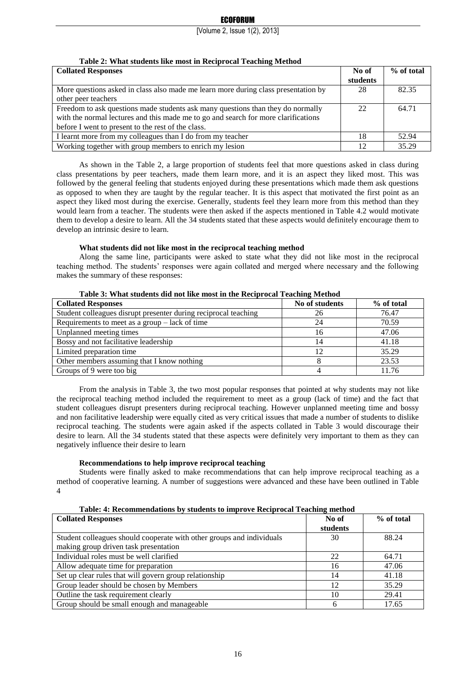| Table 2. What students like most in Reciprocal Teaching Method                     |          |            |
|------------------------------------------------------------------------------------|----------|------------|
| <b>Collated Responses</b>                                                          | No of    | % of total |
|                                                                                    | students |            |
| More questions asked in class also made me learn more during class presentation by | 28       | 82.35      |
| other peer teachers                                                                |          |            |
| Freedom to ask questions made students ask many questions than they do normally    | 22       | 64.71      |
| with the normal lectures and this made me to go and search for more clarifications |          |            |
| before I went to present to the rest of the class.                                 |          |            |
| I learnt more from my colleagues than I do from my teacher                         | 18       | 52.94      |
| Working together with group members to enrich my lesion                            | 12.      | 35.29      |

# **Table 2: What students like most in Reciprocal Teaching Method**

As shown in the Table 2, a large proportion of students feel that more questions asked in class during class presentations by peer teachers, made them learn more, and it is an aspect they liked most. This was followed by the general feeling that students enjoyed during these presentations which made them ask questions as opposed to when they are taught by the regular teacher. It is this aspect that motivated the first point as an aspect they liked most during the exercise. Generally, students feel they learn more from this method than they would learn from a teacher. The students were then asked if the aspects mentioned in Table 4.2 would motivate them to develop a desire to learn. All the 34 students stated that these aspects would definitely encourage them to develop an intrinsic desire to learn.

# **What students did not like most in the reciprocal teaching method**

Along the same line, participants were asked to state what they did not like most in the reciprocal teaching method. The students' responses were again collated and merged where necessary and the following makes the summary of these responses:

| Table 3: What students did not like most in the Reciprocal Teaching Method |                |            |  |
|----------------------------------------------------------------------------|----------------|------------|--|
| <b>Collated Responses</b>                                                  | No of students | % of total |  |
| Student colleagues disrupt presenter during reciprocal teaching            | 26             | 76.47      |  |
| Requirements to meet as a group $-$ lack of time                           | 24             | 70.59      |  |
| Unplanned meeting times                                                    | 16             | 47.06      |  |
| Bossy and not facilitative leadership                                      | 14             | 41.18      |  |
| Limited preparation time                                                   | 12             | 35.29      |  |
| Other members assuming that I know nothing                                 |                | 23.53      |  |
| Groups of 9 were too big                                                   |                | 11.76      |  |

# **Table 3: What students did not like most in the Reciprocal Teaching Method**

From the analysis in Table 3, the two most popular responses that pointed at why students may not like the reciprocal teaching method included the requirement to meet as a group (lack of time) and the fact that student colleagues disrupt presenters during reciprocal teaching. However unplanned meeting time and bossy and non facilitative leadership were equally cited as very critical issues that made a number of students to dislike reciprocal teaching. The students were again asked if the aspects collated in Table 3 would discourage their desire to learn. All the 34 students stated that these aspects were definitely very important to them as they can negatively influence their desire to learn

# **Recommendations to help improve reciprocal teaching**

Students were finally asked to make recommendations that can help improve reciprocal teaching as a method of cooperative learning. A number of suggestions were advanced and these have been outlined in Table 4

| <b>Collated Responses</b>                                             | No of    | % of total |
|-----------------------------------------------------------------------|----------|------------|
|                                                                       | students |            |
| Student colleagues should cooperate with other groups and individuals | 30       | 88.24      |
| making group driven task presentation                                 |          |            |
| Individual roles must be well clarified                               | 22       | 64.71      |
| Allow adequate time for preparation                                   | 16       | 47.06      |
| Set up clear rules that will govern group relationship                | 14       | 41.18      |
| Group leader should be chosen by Members                              | 12       | 35.29      |
| Outline the task requirement clearly                                  | 10       | 29.41      |
| Group should be small enough and manageable                           |          | 17.65      |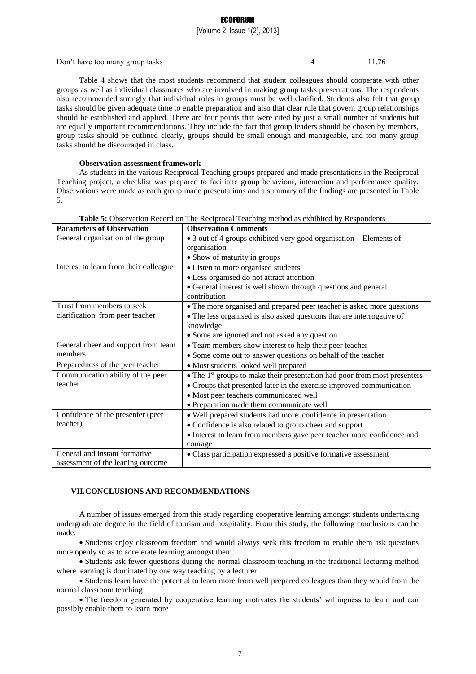## **ECOFORUM**

[Volume 2, Issue 1(2), 2013]

| Don<br>tasks<br>group<br>have<br>many<br>too | . |
|----------------------------------------------|---|

Table 4 shows that the most students recommend that student colleagues should cooperate with other groups as well as individual classmates who are involved in making group tasks presentations. The respondents also recommended strongly that individual roles in groups must be well clarified. Students also felt that group tasks should be given adequate time to enable preparation and also that clear rule that govern group relationships should be established and applied. There are four points that were cited by just a small number of students but are equally important recommendations. They include the fact that group leaders should be chosen by members, group tasks should be outlined clearly, groups should be small enough and manageable, and too many group tasks should be discouraged in class.

## **Observation assessment framework**

As students in the various Reciprocal Teaching groups prepared and made presentations in the Reciprocal Teaching project, a checklist was prepared to facilitate group behaviour, interaction and performance quality. Observations were made as each group made presentations and a summary of the findings are presented in Table 5.

| <b>Parameters of Observation</b>       | <b>Observation Comments</b>                                                           |
|----------------------------------------|---------------------------------------------------------------------------------------|
| General organisation of the group      | • 3 out of 4 groups exhibited very good organisation – Elements of                    |
|                                        | organisation                                                                          |
|                                        | • Show of maturity in groups                                                          |
| Interest to learn from their colleague | • Listen to more organised students                                                   |
|                                        | • Less organised do not attract attention                                             |
|                                        | • General interest is well shown through questions and general                        |
|                                        | contribution                                                                          |
| Trust from members to seek             | • The more organised and prepared peer teacher is asked more questions                |
| clarification from peer teacher        | • The less organised is also asked questions that are interrogative of                |
|                                        | knowledge                                                                             |
|                                        | • Some are ignored and not asked any question                                         |
| General cheer and support from team    | • Team members show interest to help their peer teacher                               |
| members                                | • Some come out to answer questions on behalf of the teacher                          |
| Preparedness of the peer teacher       | • Most students looked well prepared                                                  |
| Communication ability of the peer      | • The 1 <sup>st</sup> groups to make their presentation had poor from most presenters |
| teacher                                | • Groups that presented later in the exercise improved communication                  |
|                                        | • Most peer teachers communicated well                                                |
|                                        | • Preparation made them communicate well                                              |
| Confidence of the presenter (peer      | • Well prepared students had more confidence in presentation                          |
| teacher)                               | • Confidence is also related to group cheer and support                               |
|                                        | • Interest to learn from members gave peer teacher more confidence and                |
|                                        | courage                                                                               |
| General and instant formative          | · Class participation expressed a positive formative assessment                       |
| assessment of the leaning outcome      |                                                                                       |

**Table 5:** Observation Record on The Reciprocal Teaching method as exhibited by Respondents

# **VII.CONCLUSIONS AND RECOMMENDATIONS**

A number of issues emerged from this study regarding cooperative learning amongst students undertaking undergraduate degree in the field of tourism and hospitality. From this study, the following conclusions can be made:

 Students enjoy classroom freedom and would always seek this freedom to enable them ask questions more openly so as to accelerate learning amongst them.

 Students ask fewer questions during the normal classroom teaching in the traditional lecturing method where learning is dominated by one way teaching by a lecturer.

 Students learn have the potential to learn more from well prepared colleagues than they would from the normal classroom teaching

 The freedom generated by cooperative learning motivates the students' willingness to learn and can possibly enable them to learn more